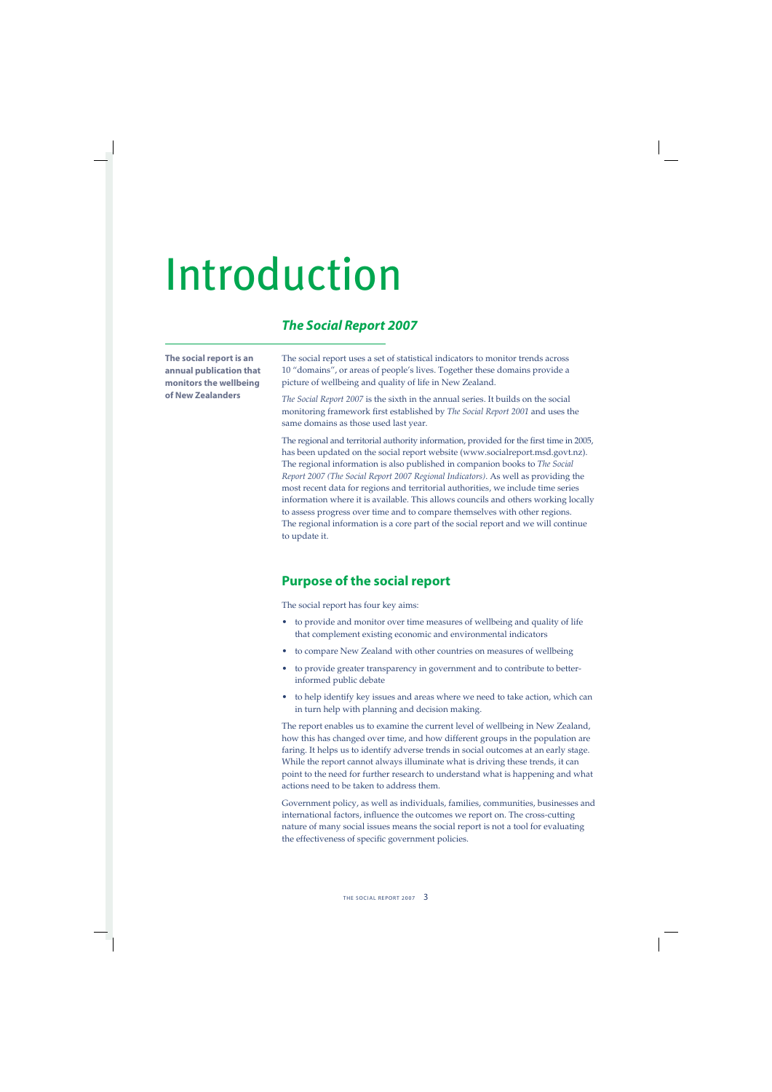# Introduction

# *The Social Report 2007*

**The social report is an annual publication that monitors the wellbeing of New Zealanders**

The social report uses a set of statistical indicators to monitor trends across 10 "domains", or areas of people's lives. Together these domains provide a picture of wellbeing and quality of life in New Zealand.

*The Social Report 2007* is the sixth in the annual series. It builds on the social monitoring framework first established by *The Social Report 2001* and uses the same domains as those used last year.

The regional and territorial authority information, provided for the first time in 2005, has been updated on the social report website (www.socialreport.msd.govt.nz). The regional information is also published in companion books to *The Social Report 2007 (The Social Report 2007 Regional Indicators)*. As well as providing the most recent data for regions and territorial authorities, we include time series information where it is available. This allows councils and others working locally to assess progress over time and to compare themselves with other regions. The regional information is a core part of the social report and we will continue to update it.

## **Purpose of the social report**

The social report has four key aims:

- to provide and monitor over time measures of wellbeing and quality of life that complement existing economic and environmental indicators •
- to compare New Zealand with other countries on measures of wellbeing •
- to provide greater transparency in government and to contribute to betterinformed public debate •
- to help identify key issues and areas where we need to take action, which can in turn help with planning and decision making. •

The report enables us to examine the current level of wellbeing in New Zealand, how this has changed over time, and how different groups in the population are faring. It helps us to identify adverse trends in social outcomes at an early stage. While the report cannot always illuminate what is driving these trends, it can point to the need for further research to understand what is happening and what actions need to be taken to address them.

Government policy, as well as individuals, families, communities, businesses and international factors, influence the outcomes we report on. The cross-cutting nature of many social issues means the social report is not a tool for evaluating the effectiveness of specific government policies.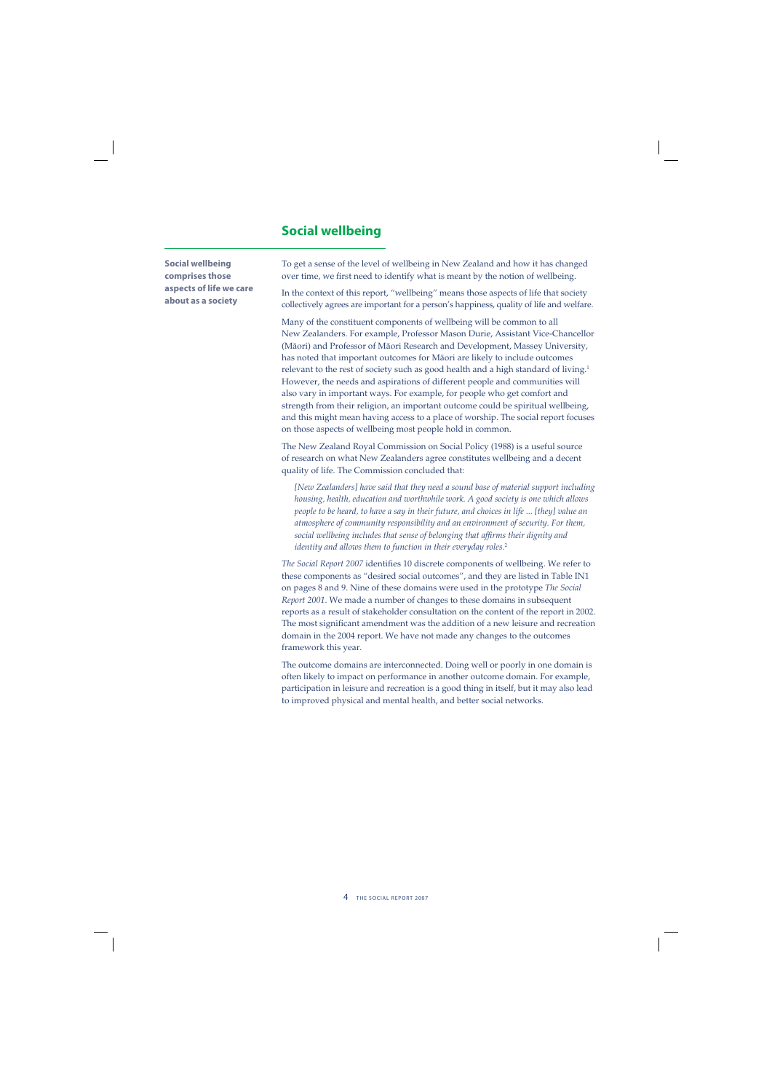## **Social wellbeing**

**Social wellbeing comprises those aspects of life we care about as a society**

To get a sense of the level of wellbeing in New Zealand and how it has changed over time, we first need to identify what is meant by the notion of wellbeing.

In the context of this report, "wellbeing" means those aspects of life that society collectively agrees are important for a person's happiness, quality of life and welfare.

Many of the constituent components of wellbeing will be common to all New Zealanders. For example, Professor Mason Durie, Assistant Vice-Chancellor (Mäori) and Professor of Mäori Research and Development, Massey University, has noted that important outcomes for Mäori are likely to include outcomes relevant to the rest of society such as good health and a high standard of living.<sup>1</sup> However, the needs and aspirations of different people and communities will also vary in important ways. For example, for people who get comfort and strength from their religion, an important outcome could be spiritual wellbeing, and this might mean having access to a place of worship. The social report focuses on those aspects of wellbeing most people hold in common.

The New Zealand Royal Commission on Social Policy (1988) is a useful source of research on what New Zealanders agree constitutes wellbeing and a decent quality of life. The Commission concluded that:

*[New Zealanders] have said that they need a sound base of material support including housing, health, education and worthwhile work. A good society is one which allows people to be heard, to have a say in their future, and choices in life ... [they] value an atmosphere of community responsibility and an environment of security. For them, social wellbeing includes that sense of belonging that affi rms their dignity and identity and allows them to function in their everyday roles.*<sup>2</sup>

*The Social Report 2007* identifies 10 discrete components of wellbeing. We refer to these components as "desired social outcomes", and they are listed in Table IN1 on pages 8 and 9. Nine of these domains were used in the prototype *The Social Report 2001*. We made a number of changes to these domains in subsequent reports as a result of stakeholder consultation on the content of the report in 2002. The most significant amendment was the addition of a new leisure and recreation domain in the 2004 report. We have not made any changes to the outcomes framework this year.

The outcome domains are interconnected. Doing well or poorly in one domain is often likely to impact on performance in another outcome domain. For example, participation in leisure and recreation is a good thing in itself, but it may also lead to improved physical and mental health, and better social networks.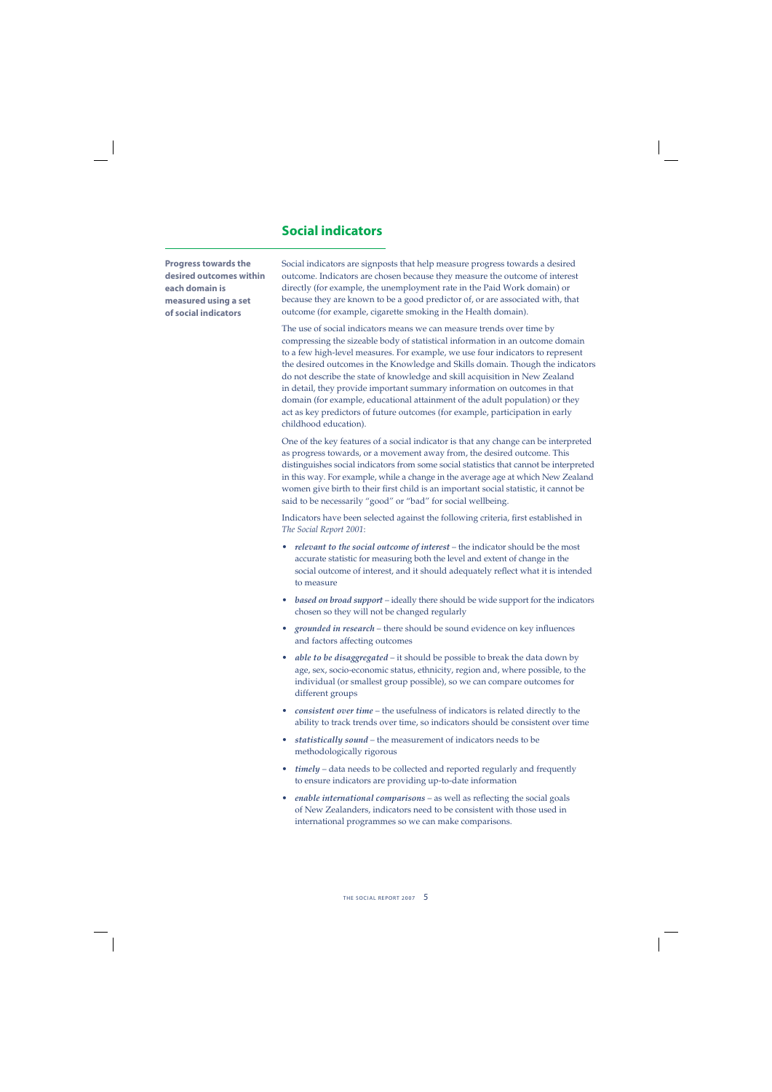## **Social indicators**

**Progress towards the desired outcomes within each domain is measured using a set of social indicators**

Social indicators are signposts that help measure progress towards a desired outcome. Indicators are chosen because they measure the outcome of interest directly (for example, the unemployment rate in the Paid Work domain) or because they are known to be a good predictor of, or are associated with, that outcome (for example, cigarette smoking in the Health domain).

The use of social indicators means we can measure trends over time by compressing the sizeable body of statistical information in an outcome domain to a few high-level measures. For example, we use four indicators to represent the desired outcomes in the Knowledge and Skills domain. Though the indicators do not describe the state of knowledge and skill acquisition in New Zealand in detail, they provide important summary information on outcomes in that domain (for example, educational attainment of the adult population) or they act as key predictors of future outcomes (for example, participation in early childhood education).

One of the key features of a social indicator is that any change can be interpreted as progress towards, or a movement away from, the desired outcome. This distinguishes social indicators from some social statistics that cannot be interpreted in this way. For example, while a change in the average age at which New Zealand women give birth to their first child is an important social statistic, it cannot be said to be necessarily "good" or "bad" for social wellbeing.

Indicators have been selected against the following criteria, first established in *The Social Report 2001*:

- *relevant to the social outcome of interest* the indicator should be the most *•* accurate statistic for measuring both the level and extent of change in the social outcome of interest, and it should adequately reflect what it is intended to measure
- *based on broad support* ideally there should be wide support for the indicators chosen so they will not be changed regularly
- *grounded in research* there should be sound evidence on key influences and factors affecting outcomes
- *able to be disaggregated* it should be possible to break the data down by *•* age, sex, socio-economic status, ethnicity, region and, where possible, to the individual (or smallest group possible), so we can compare outcomes for different groups
- *consistent over time* the usefulness of indicators is related directly to the ability to track trends over time, so indicators should be consistent over time
- *statistically sound* the measurement of indicators needs to be *•* methodologically rigorous
- *timely* data needs to be collected and reported regularly and frequently *•* to ensure indicators are providing up-to-date information
- *enable international comparisons* as well as reflecting the social goals of New Zealanders, indicators need to be consistent with those used in international programmes so we can make comparisons.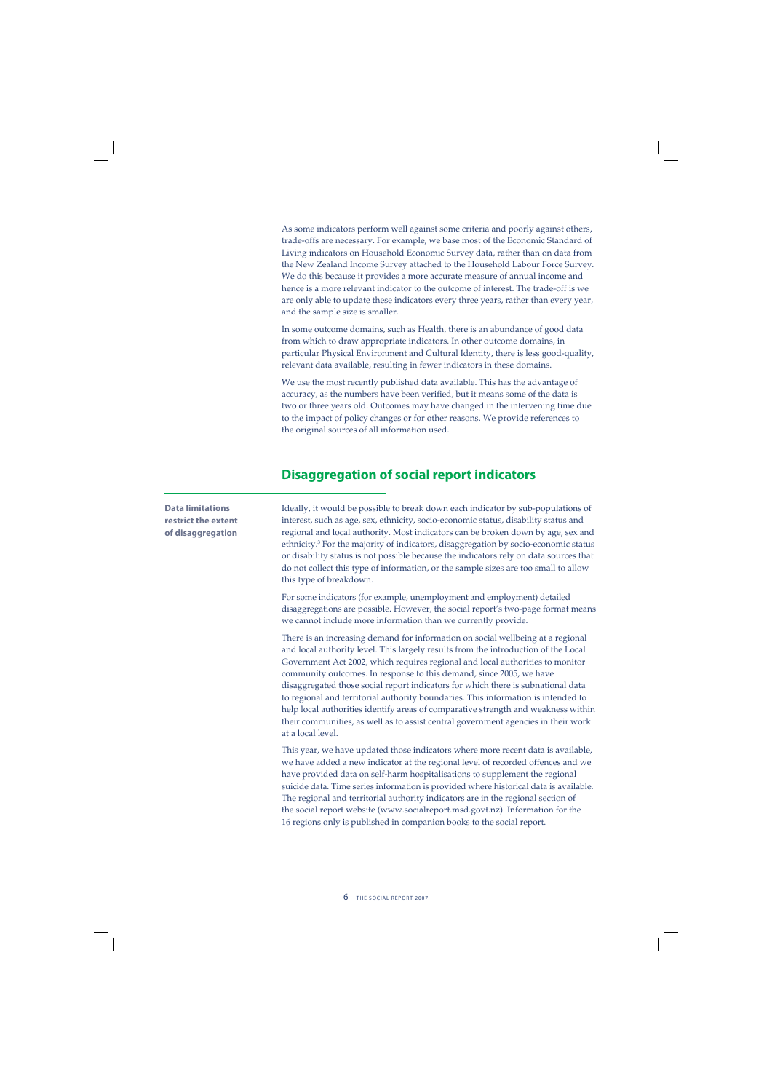As some indicators perform well against some criteria and poorly against others, trade-offs are necessary. For example, we base most of the Economic Standard of Living indicators on Household Economic Survey data, rather than on data from the New Zealand Income Survey attached to the Household Labour Force Survey. We do this because it provides a more accurate measure of annual income and hence is a more relevant indicator to the outcome of interest. The trade-off is we are only able to update these indicators every three years, rather than every year, and the sample size is smaller.

In some outcome domains, such as Health, there is an abundance of good data from which to draw appropriate indicators. In other outcome domains, in particular Physical Environment and Cultural Identity, there is less good-quality, relevant data available, resulting in fewer indicators in these domains.

We use the most recently published data available. This has the advantage of accuracy, as the numbers have been verified, but it means some of the data is two or three years old. Outcomes may have changed in the intervening time due to the impact of policy changes or for other reasons. We provide references to the original sources of all information used.

## **Disaggregation of social report indicators**

## **Data limitations restrict the extent of disaggregation**

Ideally, it would be possible to break down each indicator by sub-populations of interest, such as age, sex, ethnicity, socio-economic status, disability status and regional and local authority. Most indicators can be broken down by age, sex and ethnicity.3 For the majority of indicators, disaggregation by socio-economic status or disability status is not possible because the indicators rely on data sources that do not collect this type of information, or the sample sizes are too small to allow this type of breakdown.

For some indicators (for example, unemployment and employment) detailed disaggregations are possible. However, the social report's two-page format means we cannot include more information than we currently provide.

There is an increasing demand for information on social wellbeing at a regional and local authority level. This largely results from the introduction of the Local Government Act 2002, which requires regional and local authorities to monitor community outcomes. In response to this demand, since 2005, we have disaggregated those social report indicators for which there is subnational data to regional and territorial authority boundaries. This information is intended to help local authorities identify areas of comparative strength and weakness within their communities, as well as to assist central government agencies in their work at a local level.

This year, we have updated those indicators where more recent data is available, we have added a new indicator at the regional level of recorded offences and we have provided data on self-harm hospitalisations to supplement the regional suicide data. Time series information is provided where historical data is available. The regional and territorial authority indicators are in the regional section of the social report website (www.socialreport.msd.govt.nz). Information for the 16 regions only is published in companion books to the social report.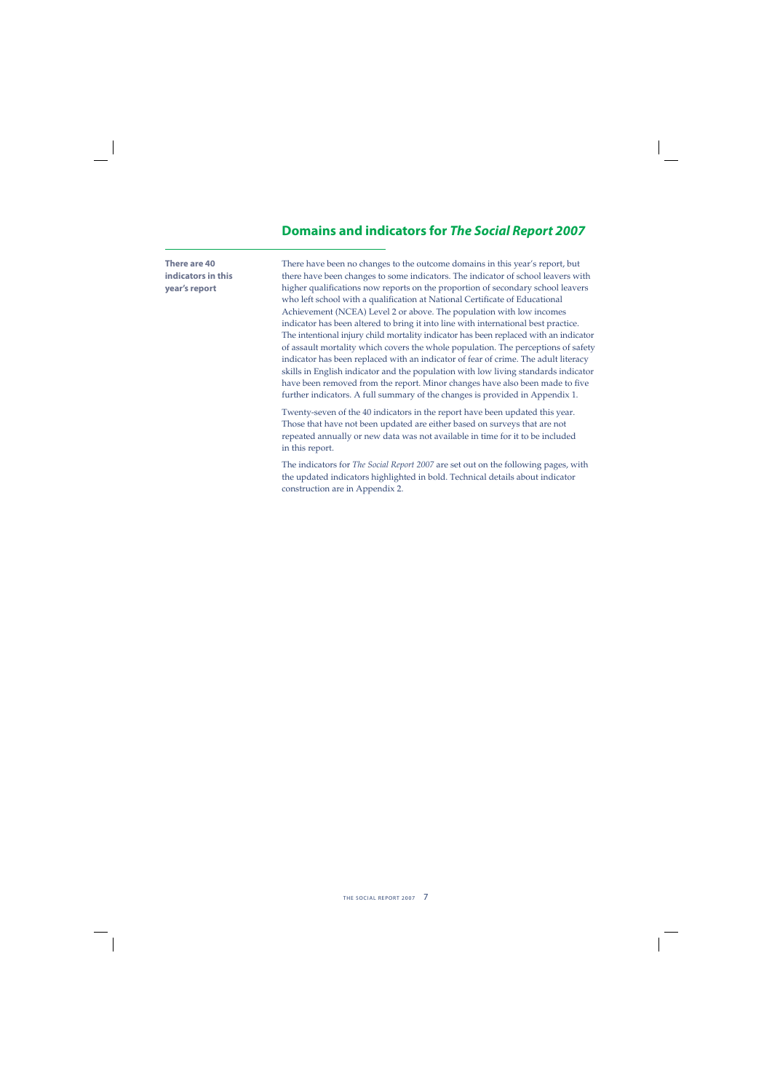## **Domains and indicators for** *The Social Report 2007*

**There are 40 indicators in this year's report**

There have been no changes to the outcome domains in this year's report, but there have been changes to some indicators. The indicator of school leavers with higher qualifications now reports on the proportion of secondary school leavers who left school with a qualification at National Certificate of Educational Achievement (NCEA) Level 2 or above. The population with low incomes indicator has been altered to bring it into line with international best practice. The intentional injury child mortality indicator has been replaced with an indicator of assault mortality which covers the whole population. The perceptions of safety indicator has been replaced with an indicator of fear of crime. The adult literacy skills in English indicator and the population with low living standards indicator have been removed from the report. Minor changes have also been made to five further indicators. A full summary of the changes is provided in Appendix 1.

Twenty-seven of the 40 indicators in the report have been updated this year. Those that have not been updated are either based on surveys that are not repeated annually or new data was not available in time for it to be included in this report.

The indicators for *The Social Report 2007* are set out on the following pages, with the updated indicators highlighted in bold. Technical details about indicator construction are in Appendix 2.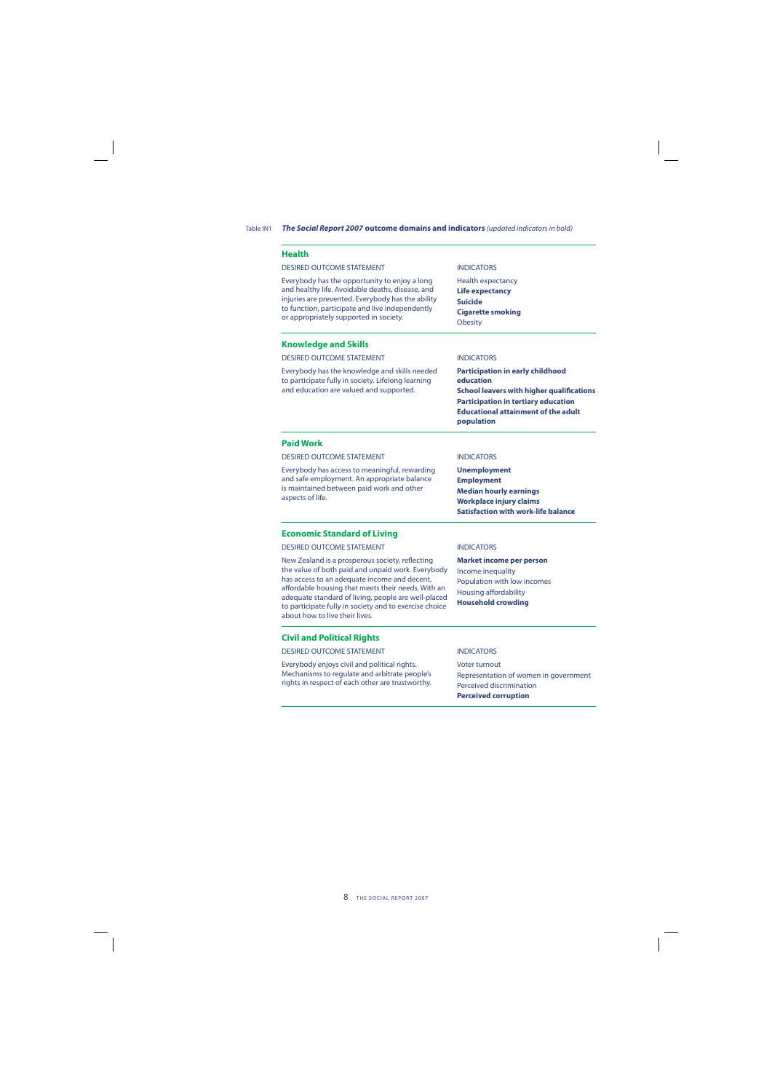Table IN1 *The Social Report 2007* **outcome domains and indicators** (updated indicators in bold)

| <b>Health</b>                                                                                                                                                                                                                                                                                                                                                 |                                                                                                                                                                                                                    |
|---------------------------------------------------------------------------------------------------------------------------------------------------------------------------------------------------------------------------------------------------------------------------------------------------------------------------------------------------------------|--------------------------------------------------------------------------------------------------------------------------------------------------------------------------------------------------------------------|
| <b>DESIRED OUTCOME STATEMENT</b>                                                                                                                                                                                                                                                                                                                              | <b>INDICATORS</b>                                                                                                                                                                                                  |
| Everybody has the opportunity to enjoy a long<br>and healthy life. Avoidable deaths, disease, and<br>injuries are prevented. Everybody has the ability<br>to function, participate and live independently<br>or appropriately supported in society.                                                                                                           | Health expectancy<br>Life expectancy<br><b>Suicide</b><br><b>Cigarette smoking</b><br><b>Obesity</b>                                                                                                               |
| <b>Knowledge and Skills</b>                                                                                                                                                                                                                                                                                                                                   |                                                                                                                                                                                                                    |
| <b>DESIRED OUTCOME STATEMENT</b>                                                                                                                                                                                                                                                                                                                              | <b>INDICATORS</b>                                                                                                                                                                                                  |
| Everybody has the knowledge and skills needed<br>to participate fully in society. Lifelong learning<br>and education are valued and supported.                                                                                                                                                                                                                | <b>Participation in early childhood</b><br>education<br><b>School leavers with higher qualifications</b><br><b>Participation in tertiary education</b><br><b>Educational attainment of the adult</b><br>population |
| <b>Paid Work</b>                                                                                                                                                                                                                                                                                                                                              |                                                                                                                                                                                                                    |
| <b>DESIRED OUTCOME STATEMENT</b>                                                                                                                                                                                                                                                                                                                              | <b>INDICATORS</b>                                                                                                                                                                                                  |
| Everybody has access to meaningful, rewarding<br>and safe employment. An appropriate balance<br>is maintained between paid work and other<br>aspects of life.                                                                                                                                                                                                 | <b>Unemployment</b><br><b>Employment</b><br><b>Median hourly earnings</b><br><b>Workplace injury claims</b><br><b>Satisfaction with work-life balance</b>                                                          |
| <b>Economic Standard of Living</b>                                                                                                                                                                                                                                                                                                                            |                                                                                                                                                                                                                    |
| <b>DESIRED OUTCOME STATEMENT</b>                                                                                                                                                                                                                                                                                                                              | <b>INDICATORS</b>                                                                                                                                                                                                  |
| New Zealand is a prosperous society, reflecting<br>the value of both paid and unpaid work. Everybody<br>has access to an adequate income and decent,<br>affordable housing that meets their needs. With an<br>adequate standard of living, people are well-placed<br>to participate fully in society and to exercise choice<br>about how to live their lives. | <b>Market income per person</b><br>Income inequality<br>Population with low incomes<br>Housing affordability<br><b>Household crowding</b>                                                                          |
| <b>Civil and Political Rights</b>                                                                                                                                                                                                                                                                                                                             |                                                                                                                                                                                                                    |
| <b>DESIRED OUTCOME STATEMENT</b>                                                                                                                                                                                                                                                                                                                              | <b>INDICATORS</b>                                                                                                                                                                                                  |
| Everybody enjoys civil and political rights.<br>Mechanisms to regulate and arbitrate people's<br>rights in respect of each other are trustworthy.                                                                                                                                                                                                             | Voter turnout<br>Representation of women in government<br>Perceived discrimination                                                                                                                                 |

**Perceived corruption**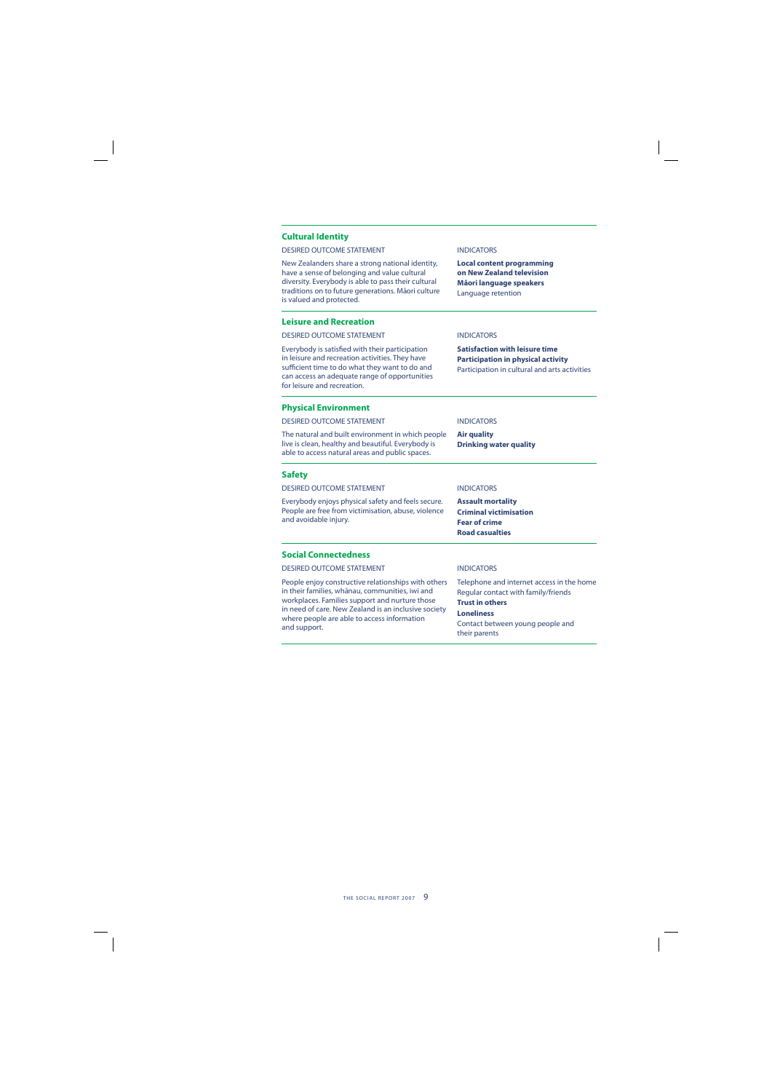#### **Cultural Identity**

#### DESIRED OUTCOME STATEMENT **INDICATORS**

New Zealanders share a strong national identity, have a sense of belonging and value cultural diversity. Everybody is able to pass their cultural traditions on to future generations. Māori culture is valued and protected.

#### **Leisure and Recreation**

DESIRED OUTCOME STATEMENT **INDICATORS** 

Everybody is satisfied with their participation in leisure and recreation activities. They have sufficient time to do what they want to do and can access an adequate range of opportunities for leisure and recreation.

#### **Physical Environment**

DESIRED OUTCOME STATEMENT INDICATORS

The natural and built environment in which people live is clean, healthy and beautiful. Everybody is able to access natural areas and public spaces.

**Air quality Drinking water quality**

**Local content programming on New Zealand television Mäori language speakers** Language retention

**Satisfaction with leisure time Participation in physical activity** Participation in cultural and arts activities

#### **Safety**

DESIRED OUTCOME STATEMENT INDICATORS

Everybody enjoys physical safety and feels secure. People are free from victimisation, abuse, violence and avoidable injury.

### **Assault mortality**

**Criminal victimisation Fear of crime Road casualties**

#### **Social Connectedness**

DESIRED OUTCOME STATEMENT INDICATORS

People enjoy constructive relationships with others in their families, whānau, communities, iwi and workplaces. Families support and nurture those in need of care. New Zealand is an inclusive society where people are able to access information and support.

Telephone and internet access in the home Regular contact with family/friends **Trust in others**

#### **Loneliness**

Contact between young people and their parents